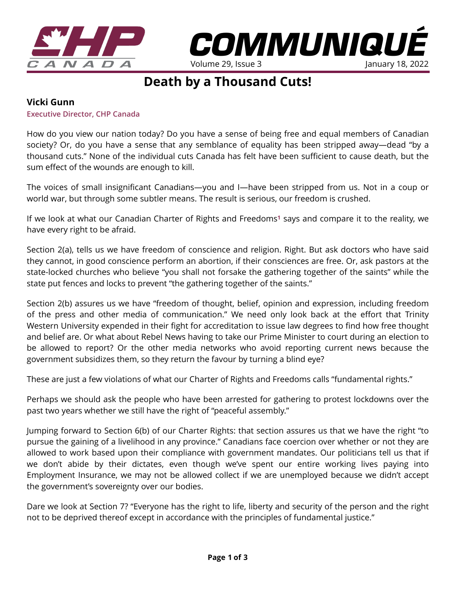



## **Death by a Thousand Cuts!**

## **Vicki Gunn**

**Executive Director, CHP Canada** 

How do you view our nation today? Do you have a sense of being free and equal members of Canadian society? Or, do you have a sense that any semblance of equality has been stripped away—dead "by a thousand cuts." None of the individual cuts Canada has felt have been sufficient to cause death, but the sum effect of the wounds are enough to kill.

The voices of small insignificant Canadians—you and I—have been stripped from us. Not in a coup or world war, but through some subtler means. The result is serious, our freedom is crushed.

If we look at what our Canadian Charter of Rights and Freedoms**[1](https://laws-lois.justice.gc.ca/eng/const/page-12.html)** says and compare it to the reality, we have every right to be afraid.

Section 2(a), tells us we have freedom of conscience and religion. Right. But ask doctors who have said they cannot, in good conscience perform an abortion, if their consciences are free. Or, ask pastors at the state-locked churches who believe "you shall not forsake the gathering together of the saints" while the state put fences and locks to prevent "the gathering together of the saints."

Section 2(b) assures us we have "freedom of thought, belief, opinion and expression, including freedom of the press and other media of communication." We need only look back at the effort that Trinity Western University expended in their fight for accreditation to issue law degrees to find how free thought and belief are. Or what about Rebel News having to take our Prime Minister to court during an election to be allowed to report? Or the other media networks who avoid reporting current news because the government subsidizes them, so they return the favour by turning a blind eye?

These are just a few violations of what our Charter of Rights and Freedoms calls "fundamental rights."

Perhaps we should ask the people who have been arrested for gathering to protest lockdowns over the past two years whether we still have the right of "peaceful assembly."

Jumping forward to Section 6(b) of our Charter Rights: that section assures us that we have the right "to pursue the gaining of a livelihood in any province." Canadians face coercion over whether or not they are allowed to work based upon their compliance with government mandates. Our politicians tell us that if we don't abide by their dictates, even though we've spent our entire working lives paying into Employment Insurance, we may not be allowed collect if we are unemployed because we didn't accept the government's sovereignty over our bodies.

Dare we look at Section 7? "Everyone has the right to life, liberty and security of the person and the right not to be deprived thereof except in accordance with the principles of fundamental justice."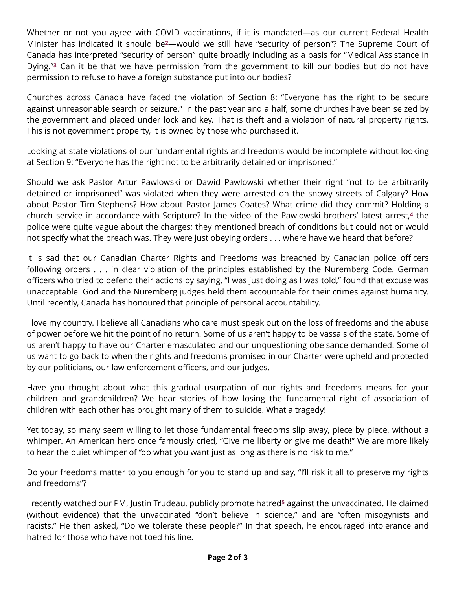Whether or not you agree with COVID vaccinations, if it is mandated—as our current Federal Health Minister has indicated it should be**[2](https://www.cbc.ca/news/politics/duclos-mandatory-vaccination-policies-on-way-1.6307398)**—would we still have "security of person"? The Supreme Court of Canada has interpreted "security of person" quite broadly including as a basis for "Medical Assistance in Dying."**[3](https://www.thecanadianencyclopedia.ca/en/article/assisted-suicide-in-canada)** Can it be that we have permission from the government to kill our bodies but do not have permission to refuse to have a foreign substance put into our bodies?

Churches across Canada have faced the violation of Section 8: "Everyone has the right to be secure against unreasonable search or seizure." In the past year and a half, some churches have been seized by the government and placed under lock and key. That is theft and a violation of natural property rights. This is not government property, it is owned by those who purchased it.

Looking at state violations of our fundamental rights and freedoms would be incomplete without looking at Section 9: "Everyone has the right not to be arbitrarily detained or imprisoned."

Should we ask Pastor Artur Pawlowski or Dawid Pawlowski whether their right "not to be arbitrarily detained or imprisoned" was violated when they were arrested on the snowy streets of Calgary? How about Pastor Tim Stephens? How about Pastor James Coates? What crime did they commit? Holding a church service in accordance with Scripture? In the video of the Pawlowski brothers' latest arrest,**[4](https://www.youtube.com/watch?v=B5f4xppV25w)** the police were quite vague about the charges; they mentioned breach of conditions but could not or would not specify what the breach was. They were just obeying orders . . . where have we heard that before?

It is sad that our Canadian Charter Rights and Freedoms was breached by Canadian police officers following orders . . . in clear violation of the principles established by the Nuremberg Code. German officers who tried to defend their actions by saying, "I was just doing as I was told," found that excuse was unacceptable. God and the Nuremberg judges held them accountable for their crimes against humanity. Until recently, Canada has honoured that principle of personal accountability.

I love my country. I believe all Canadians who care must speak out on the loss of freedoms and the abuse of power before we hit the point of no return. Some of us aren't happy to be vassals of the state. Some of us aren't happy to have our Charter emasculated and our unquestioning obeisance demanded. Some of us want to go back to when the rights and freedoms promised in our Charter were upheld and protected by our politicians, our law enforcement officers, and our judges.

Have you thought about what this gradual usurpation of our rights and freedoms means for your children and grandchildren? We hear stories of how losing the fundamental right of association of children with each other has brought many of them to suicide. What a tragedy!

Yet today, so many seem willing to let those fundamental freedoms slip away, piece by piece, without a whimper. An American hero once famously cried, "Give me liberty or give me death!" We are more likely to hear the quiet whimper of "do what you want just as long as there is no risk to me."

Do your freedoms matter to you enough for you to stand up and say, "I'll risk it all to preserve my rights and freedoms"?

I recently watched our PM, Justin Trudeau, publicly promote hatred**[5](https://westernstandardonline.com/2021/12/trudeau-calls-the-unvaccinated-racist-and-misogynistic-extremists/)** against the unvaccinated. He claimed (without evidence) that the unvaccinated "don't believe in science," and are "often misogynists and racists." He then asked, "Do we tolerate these people?" In that speech, he encouraged intolerance and hatred for those who have not toed his line.